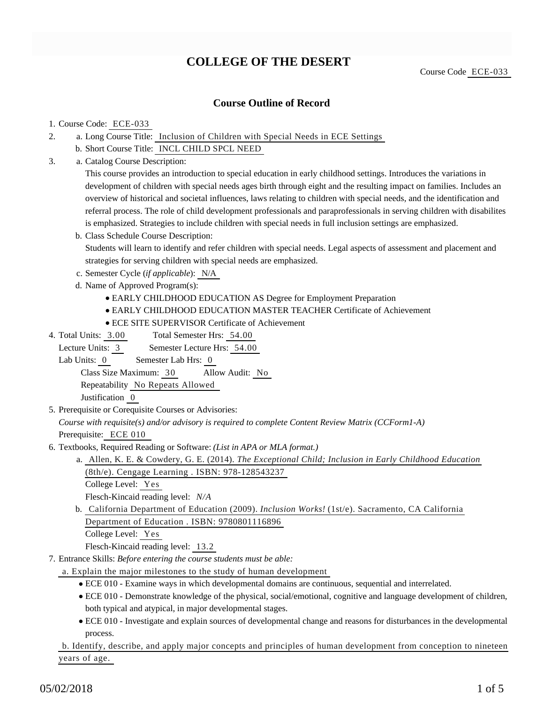# **COLLEGE OF THE DESERT**

## **Course Outline of Record**

#### 1. Course Code: ECE-033

- a. Long Course Title: Inclusion of Children with Special Needs in ECE Settings 2.
	- b. Short Course Title: INCL CHILD SPCL NEED
- Catalog Course Description: a. 3.

This course provides an introduction to special education in early childhood settings. Introduces the variations in development of children with special needs ages birth through eight and the resulting impact on families. Includes an overview of historical and societal influences, laws relating to children with special needs, and the identification and referral process. The role of child development professionals and paraprofessionals in serving children with disabilites is emphasized. Strategies to include children with special needs in full inclusion settings are emphasized.

- b. Class Schedule Course Description: Students will learn to identify and refer children with special needs. Legal aspects of assessment and placement and strategies for serving children with special needs are emphasized.
- c. Semester Cycle (*if applicable*): N/A
- d. Name of Approved Program(s):
	- EARLY CHILDHOOD EDUCATION AS Degree for Employment Preparation
	- EARLY CHILDHOOD EDUCATION MASTER TEACHER Certificate of Achievement
	- ECE SITE SUPERVISOR Certificate of Achievement
- Total Semester Hrs: 54.00 4. Total Units: 3.00

Lecture Units: 3 Semester Lecture Hrs: 54.00

Lab Units: 0 Semester Lab Hrs: 0

Class Size Maximum: 30 Allow Audit: No

Repeatability No Repeats Allowed

Justification 0

5. Prerequisite or Corequisite Courses or Advisories:

*Course with requisite(s) and/or advisory is required to complete Content Review Matrix (CCForm1-A)* Prerequisite: ECE 010

- 6. Textbooks, Required Reading or Software: (List in APA or MLA format.)
	- a. Allen, K. E. & Cowdery, G. E. (2014). *The Exceptional Child; Inclusion in Early Childhood Education* (8th/e). Cengage Learning . ISBN: 978-128543237
		- College Level: Yes

Flesch-Kincaid reading level: *N/A*

- b. California Department of Education (2009). *Inclusion Works!* (1st/e). Sacramento, CA California Department of Education . ISBN: 9780801116896 College Level: Yes
	- Flesch-Kincaid reading level: 13.2
- Entrance Skills: *Before entering the course students must be able:* 7.
	- a. Explain the major milestones to the study of human development
		- ECE 010 Examine ways in which developmental domains are continuous, sequential and interrelated.
		- ECE 010 Demonstrate knowledge of the physical, social/emotional, cognitive and language development of children, both typical and atypical, in major developmental stages.
		- ECE 010 Investigate and explain sources of developmental change and reasons for disturbances in the developmental process.

b. Identify, describe, and apply major concepts and principles of human development from conception to nineteen years of age.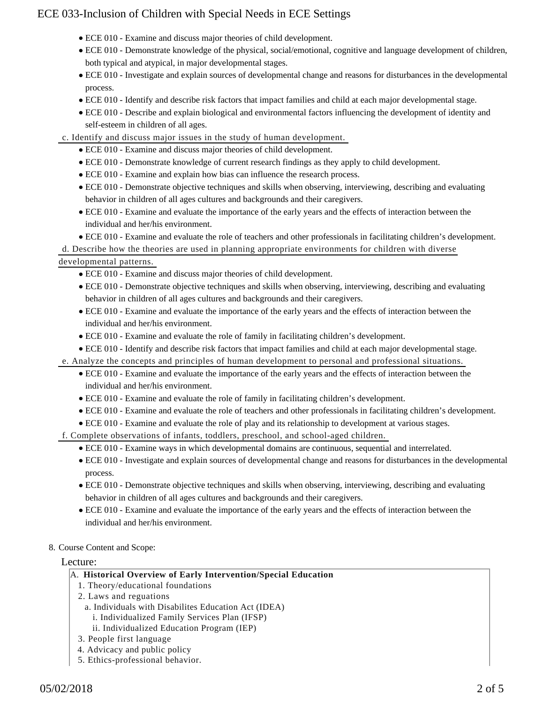- ECE 010 Examine and discuss major theories of child development.
- ECE 010 Demonstrate knowledge of the physical, social/emotional, cognitive and language development of children, both typical and atypical, in major developmental stages.
- ECE 010 Investigate and explain sources of developmental change and reasons for disturbances in the developmental process.
- ECE 010 Identify and describe risk factors that impact families and child at each major developmental stage.
- ECE 010 Describe and explain biological and environmental factors influencing the development of identity and self-esteem in children of all ages.
- c. Identify and discuss major issues in the study of human development.
	- ECE 010 Examine and discuss major theories of child development.
	- ECE 010 Demonstrate knowledge of current research findings as they apply to child development.
	- ECE 010 Examine and explain how bias can influence the research process.
	- ECE 010 Demonstrate objective techniques and skills when observing, interviewing, describing and evaluating behavior in children of all ages cultures and backgrounds and their caregivers.
	- ECE 010 Examine and evaluate the importance of the early years and the effects of interaction between the individual and her/his environment.
	- ECE 010 Examine and evaluate the role of teachers and other professionals in facilitating children's development.

d. Describe how the theories are used in planning appropriate environments for children with diverse

## developmental patterns.

- ECE 010 Examine and discuss major theories of child development.
- ECE 010 Demonstrate objective techniques and skills when observing, interviewing, describing and evaluating behavior in children of all ages cultures and backgrounds and their caregivers.
- ECE 010 Examine and evaluate the importance of the early years and the effects of interaction between the individual and her/his environment.
- ECE 010 Examine and evaluate the role of family in facilitating children's development.
- ECE 010 Identify and describe risk factors that impact families and child at each major developmental stage.
- e. Analyze the concepts and principles of human development to personal and professional situations.
	- ECE 010 Examine and evaluate the importance of the early years and the effects of interaction between the individual and her/his environment.
	- ECE 010 Examine and evaluate the role of family in facilitating children's development.
	- ECE 010 Examine and evaluate the role of teachers and other professionals in facilitating children's development.
	- ECE 010 Examine and evaluate the role of play and its relationship to development at various stages.
- f. Complete observations of infants, toddlers, preschool, and school-aged children.
	- ECE 010 Examine ways in which developmental domains are continuous, sequential and interrelated.
	- ECE 010 Investigate and explain sources of developmental change and reasons for disturbances in the developmental process.
	- ECE 010 Demonstrate objective techniques and skills when observing, interviewing, describing and evaluating behavior in children of all ages cultures and backgrounds and their caregivers.
	- ECE 010 Examine and evaluate the importance of the early years and the effects of interaction between the individual and her/his environment.

#### 8. Course Content and Scope:

#### Lecture:

#### A. **Historical Overview of Early Intervention/Special Education**

- 1. Theory/educational foundations
- 2. Laws and reguations
	- a. Individuals with Disabilites Education Act (IDEA)
		- i. Individualized Family Services Plan (IFSP)
		- ii. Individualized Education Program (IEP)
- 3. People first language
- 4. Advicacy and public policy
- 5. Ethics-professional behavior.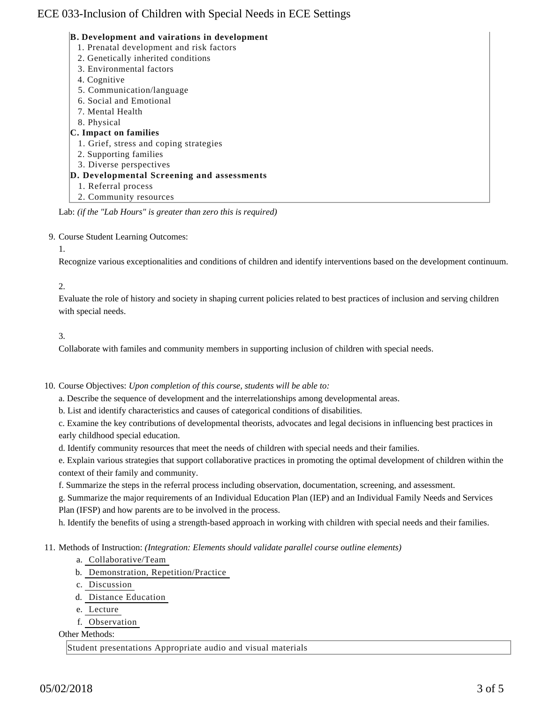#### **B. Development and vairations in development**

- 1. Prenatal development and risk factors
- 2. Genetically inherited conditions
- 3. Environmental factors
- 4. Cognitive
- 5. Communication/language
- 6. Social and Emotional
- 7. Mental Health
- 8. Physical

## **C. Impact on families**

- 1. Grief, stress and coping strategies
- 2. Supporting families
- 3. Diverse perspectives
- **D. Developmental Screening and assessments**
	- 1. Referral process
- 2. Community resources

Lab: *(if the "Lab Hours" is greater than zero this is required)*

#### 9. Course Student Learning Outcomes:

#### 1.

Recognize various exceptionalities and conditions of children and identify interventions based on the development continuum.

## 2.

Evaluate the role of history and society in shaping current policies related to best practices of inclusion and serving children with special needs.

## 3.

Collaborate with familes and community members in supporting inclusion of children with special needs.

## 10. Course Objectives: Upon completion of this course, students will be able to:

a. Describe the sequence of development and the interrelationships among developmental areas.

b. List and identify characteristics and causes of categorical conditions of disabilities.

c. Examine the key contributions of developmental theorists, advocates and legal decisions in influencing best practices in early childhood special education.

d. Identify community resources that meet the needs of children with special needs and their families.

e. Explain various strategies that support collaborative practices in promoting the optimal development of children within the context of their family and community.

f. Summarize the steps in the referral process including observation, documentation, screening, and assessment.

g. Summarize the major requirements of an Individual Education Plan (IEP) and an Individual Family Needs and Services Plan (IFSP) and how parents are to be involved in the process.

h. Identify the benefits of using a strength-based approach in working with children with special needs and their families.

## 11. Methods of Instruction: *(Integration: Elements should validate parallel course outline elements)*

- a. Collaborative/Team
- b. Demonstration, Repetition/Practice
- c. Discussion
- d. Distance Education
- e. Lecture
- f. Observation

Other Methods:

Student presentations Appropriate audio and visual materials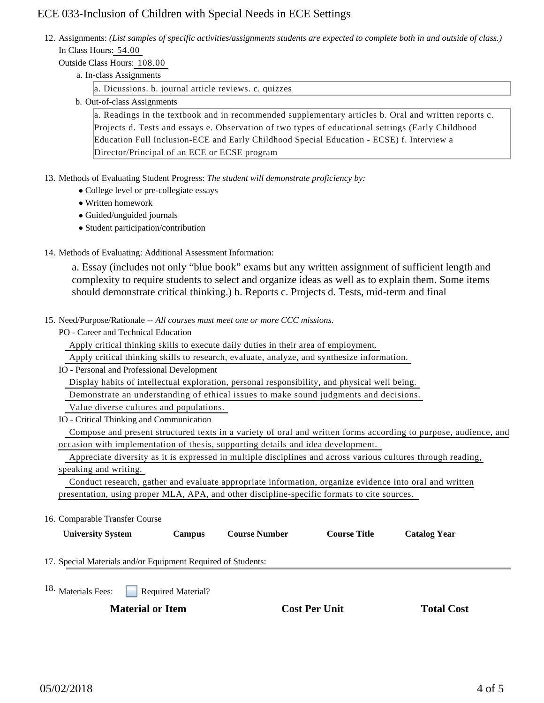12. Assignments: (List samples of specific activities/assignments students are expected to complete both in and outside of class.) In Class Hours: 54.00

## Outside Class Hours: 108.00

a. In-class Assignments

a. Dicussions. b. journal article reviews. c. quizzes

b. Out-of-class Assignments

a. Readings in the textbook and in recommended supplementary articles b. Oral and written reports c. Projects d. Tests and essays e. Observation of two types of educational settings (Early Childhood Education Full Inclusion-ECE and Early Childhood Special Education - ECSE) f. Interview a Director/Principal of an ECE or ECSE program

13. Methods of Evaluating Student Progress: The student will demonstrate proficiency by:

- College level or pre-collegiate essays
- Written homework
- Guided/unguided journals
- Student participation/contribution
- 14. Methods of Evaluating: Additional Assessment Information:

a. Essay (includes not only "blue book" exams but any written assignment of sufficient length and complexity to require students to select and organize ideas as well as to explain them. Some items should demonstrate critical thinking.) b. Reports c. Projects d. Tests, mid-term and final

- 15. Need/Purpose/Rationale -- All courses must meet one or more CCC missions.
	- PO Career and Technical Education

Apply critical thinking skills to execute daily duties in their area of employment.

Apply critical thinking skills to research, evaluate, analyze, and synthesize information.

IO - Personal and Professional Development

Display habits of intellectual exploration, personal responsibility, and physical well being.

Demonstrate an understanding of ethical issues to make sound judgments and decisions.

Value diverse cultures and populations.

IO - Critical Thinking and Communication

 Compose and present structured texts in a variety of oral and written forms according to purpose, audience, and occasion with implementation of thesis, supporting details and idea development.

 Appreciate diversity as it is expressed in multiple disciplines and across various cultures through reading, speaking and writing.

 Conduct research, gather and evaluate appropriate information, organize evidence into oral and written presentation, using proper MLA, APA, and other discipline-specific formats to cite sources.

## 16. Comparable Transfer Course

**University System Campus Course Number Course Title Catalog Year**

17. Special Materials and/or Equipment Required of Students:

Required Material? <sup>18.</sup> Materials Fees:

**Material or Item Cost Per Unit Total Cost**